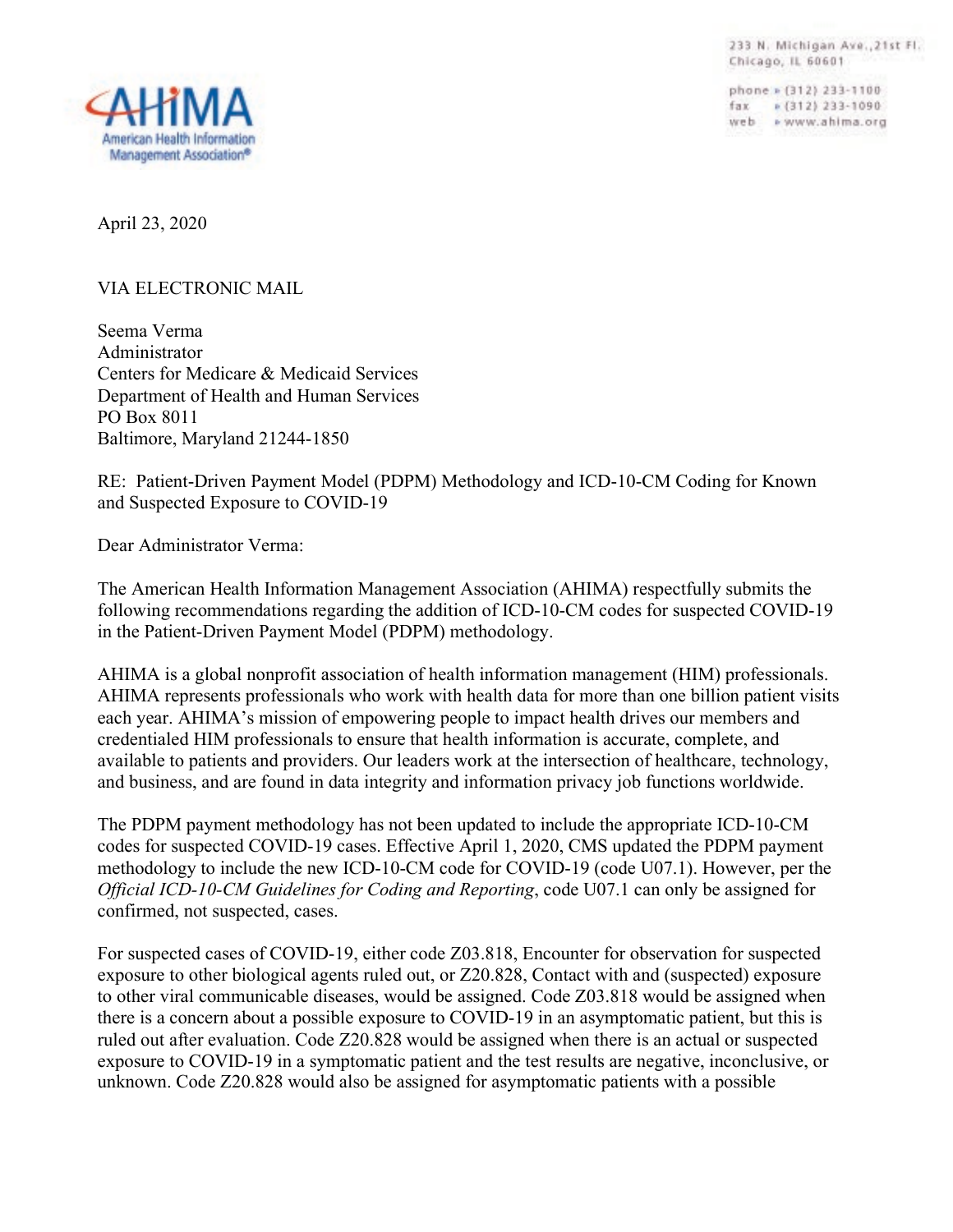233 N. Michigan Ave., 21st Fl. Chicago, IL 60601

phone » (312) 233-1100 fax = (312) 233-1090 web » www.ahima.org



April 23, 2020

## VIA ELECTRONIC MAIL

Seema Verma Administrator Centers for Medicare & Medicaid Services Department of Health and Human Services PO Box 8011 Baltimore, Maryland 21244-1850

RE: Patient-Driven Payment Model (PDPM) Methodology and ICD-10-CM Coding for Known and Suspected Exposure to COVID-19

Dear Administrator Verma:

The American Health Information Management Association (AHIMA) respectfully submits the following recommendations regarding the addition of ICD-10-CM codes for suspected COVID-19 in the Patient-Driven Payment Model (PDPM) methodology.

AHIMA is a global nonprofit association of health information management (HIM) professionals. AHIMA represents professionals who work with health data for more than one billion patient visits each year. AHIMA's mission of empowering people to impact health drives our members and credentialed HIM professionals to ensure that health information is accurate, complete, and available to patients and providers. Our leaders work at the intersection of healthcare, technology, and business, and are found in data integrity and information privacy job functions worldwide.

The PDPM payment methodology has not been updated to include the appropriate ICD-10-CM codes for suspected COVID-19 cases. Effective April 1, 2020, CMS updated the PDPM payment methodology to include the new ICD-10-CM code for COVID-19 (code U07.1). However, per the *Official ICD-10-CM Guidelines for Coding and Reporting*, code U07.1 can only be assigned for confirmed, not suspected, cases.

For suspected cases of COVID-19, either code Z03.818, Encounter for observation for suspected exposure to other biological agents ruled out, or Z20.828, Contact with and (suspected) exposure to other viral communicable diseases, would be assigned. Code Z03.818 would be assigned when there is a concern about a possible exposure to COVID-19 in an asymptomatic patient, but this is ruled out after evaluation. Code Z20.828 would be assigned when there is an actual or suspected exposure to COVID-19 in a symptomatic patient and the test results are negative, inconclusive, or unknown. Code Z20.828 would also be assigned for asymptomatic patients with a possible